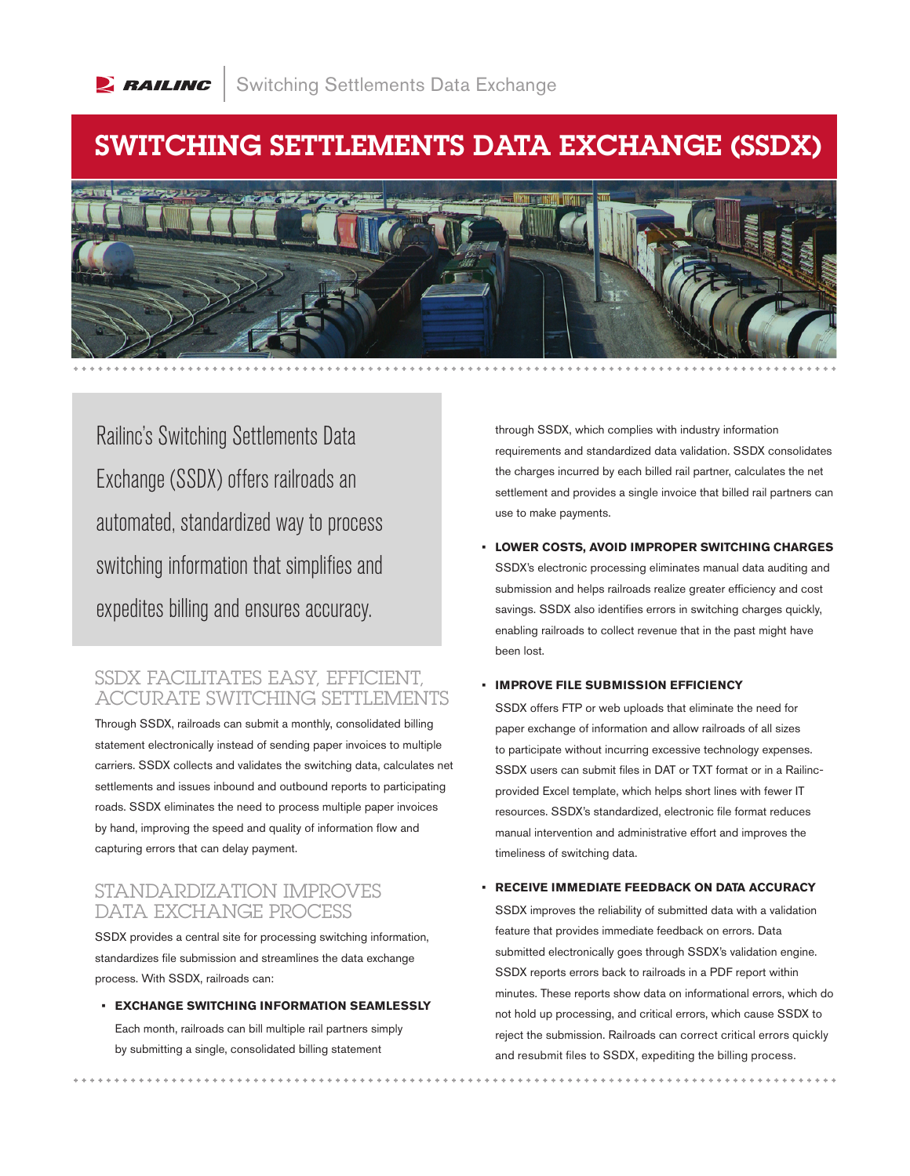# SWITCHING SETTLEMENTS DATA EXCHANGE (SSDX)



Railinc's Switching Settlements Data Exchange (SSDX) offers railroads an automated, standardized way to process switching information that simplifies and expedites billing and ensures accuracy.

### SSDX FACILITATES EASY, EFFICIENT, ACCURATE SWITCHING SETTLEMENTS

Through SSDX, railroads can submit a monthly, consolidated billing statement electronically instead of sending paper invoices to multiple carriers. SSDX collects and validates the switching data, calculates net settlements and issues inbound and outbound reports to participating roads. SSDX eliminates the need to process multiple paper invoices by hand, improving the speed and quality of information flow and capturing errors that can delay payment.

## STANDARDIZATION IMPROVES DATA EXCHANGE PROCESS

SSDX provides a central site for processing switching information, standardizes file submission and streamlines the data exchange process. With SSDX, railroads can:

**• EXCHANGE SWITCHING INFORMATION SEAMLESSLY** 

Each month, railroads can bill multiple rail partners simply by submitting a single, consolidated billing statement

through SSDX, which complies with industry information requirements and standardized data validation. SSDX consolidates the charges incurred by each billed rail partner, calculates the net settlement and provides a single invoice that billed rail partners can use to make payments.

**• LOWER COSTS, AVOID IMPROPER SWITCHING CHARGES**  SSDX's electronic processing eliminates manual data auditing and submission and helps railroads realize greater efficiency and cost savings. SSDX also identifies errors in switching charges quickly, enabling railroads to collect revenue that in the past might have been lost.

#### **• IMPROVE FILE SUBMISSION EFFICIENCY**

SSDX offers FTP or web uploads that eliminate the need for paper exchange of information and allow railroads of all sizes to participate without incurring excessive technology expenses. SSDX users can submit files in DAT or TXT format or in a Railincprovided Excel template, which helps short lines with fewer IT resources. SSDX's standardized, electronic file format reduces manual intervention and administrative effort and improves the timeliness of switching data.

#### **• RECEIVE IMMEDIATE FEEDBACK ON DATA ACCURACY**

SSDX improves the reliability of submitted data with a validation feature that provides immediate feedback on errors. Data submitted electronically goes through SSDX's validation engine. SSDX reports errors back to railroads in a PDF report within minutes. These reports show data on informational errors, which do not hold up processing, and critical errors, which cause SSDX to reject the submission. Railroads can correct critical errors quickly and resubmit files to SSDX, expediting the billing process.